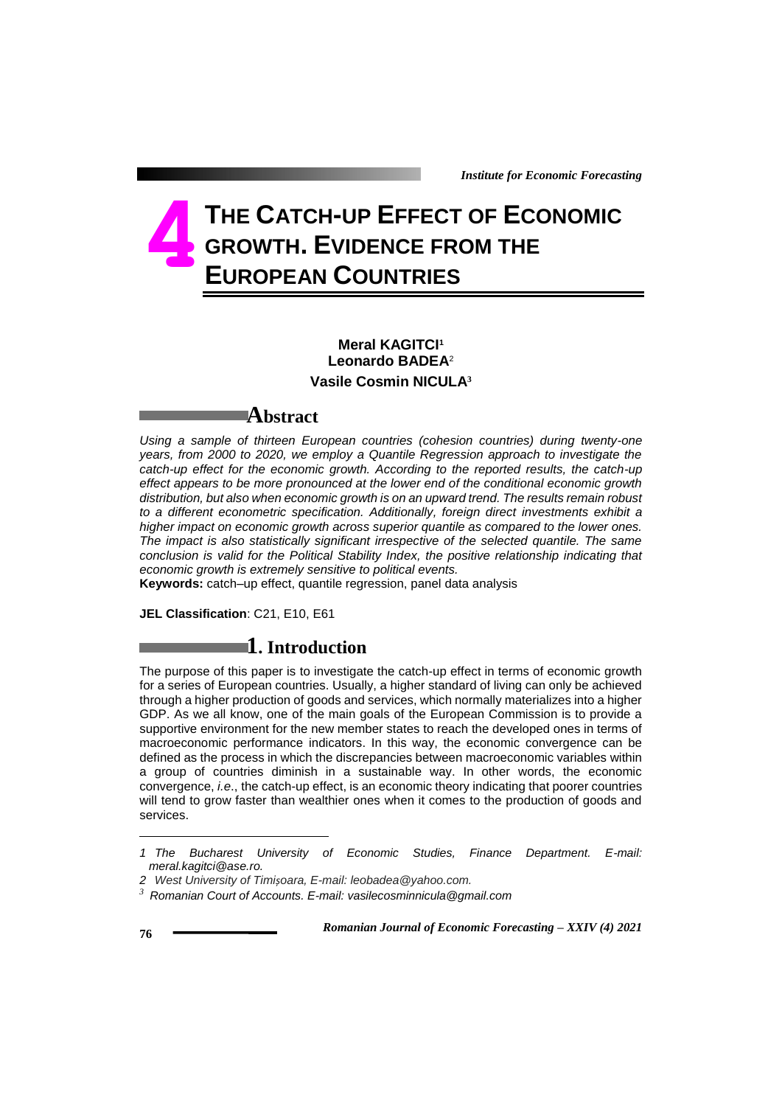# **THE CATCH-UP EFFECT OF ECONOMIC GROWTH. EVIDENCE FROM THE EUROPEAN COUNTRIES 4**

### **Meral KAGITCI<sup>1</sup> Leonardo BADEA**<sup>2</sup> **Vasile Cosmin NICULA<sup>3</sup>**

### **Abstract**

Using a sample of thirteen European countries (cohesion countries) during twenty-one *years, from 2000 to 2020, we employ a Quantile Regression approach to investigate the catch-up effect for the economic growth. According to the reported results, the catch-up effect appears to be more pronounced at the lower end of the conditional economic growth distribution, but also when economic growth is on an upward trend. The results remain robust to a different econometric specification. Additionally, foreign direct investments exhibit a higher impact on economic growth across superior quantile as compared to the lower ones. The impact is also statistically significant irrespective of the selected quantile. The same conclusion is valid for the Political Stability Index, the positive relationship indicating that economic growth is extremely sensitive to political events.* 

**Keywords:** catch–up effect, quantile regression, panel data analysis

**JEL Classification**: C21, E10, E61

# **1. Introduction**

The purpose of this paper is to investigate the catch-up effect in terms of economic growth for a series of European countries. Usually, a higher standard of living can only be achieved through a higher production of goods and services, which normally materializes into a higher GDP. As we all know, one of the main goals of the European Commission is to provide a supportive environment for the new member states to reach the developed ones in terms of macroeconomic performance indicators. In this way, the economic convergence can be defined as the process in which the discrepancies between macroeconomic variables within a group of countries diminish in a sustainable way. In other words, the economic convergence, *i.e*., the catch-up effect, is an economic theory indicating that poorer countries will tend to grow faster than wealthier ones when it comes to the production of goods and services.

1

*<sup>1</sup> The Bucharest University of Economic Studies, Finance Department. E-mail: meral.kagitci@ase.ro.*

*<sup>2</sup> West University of Timișoara, E-mail: leobadea@yahoo.com.*

*<sup>3</sup> Romanian Court of Accounts. E-mail: vasilecosminnicula@gmail.com*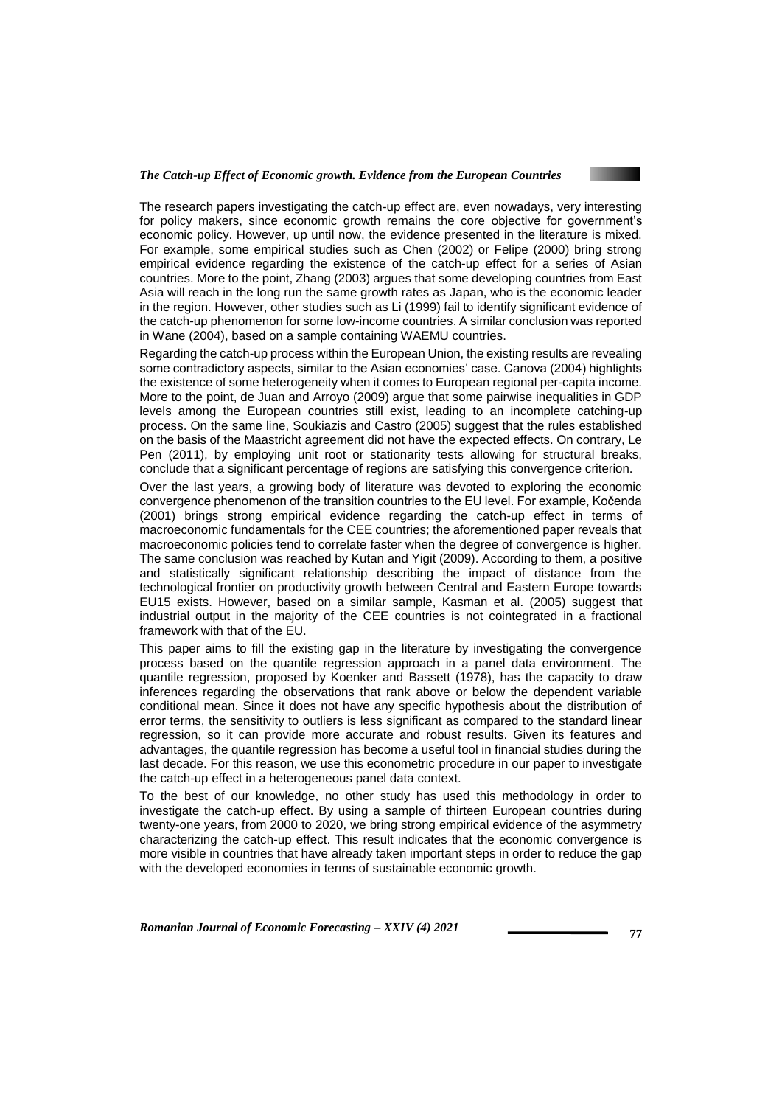

The research papers investigating the catch-up effect are, even nowadays, very interesting for policy makers, since economic growth remains the core objective for government's economic policy. However, up until now, the evidence presented in the literature is mixed. For example, some empirical studies such as Chen (2002) or Felipe (2000) bring strong empirical evidence regarding the existence of the catch-up effect for a series of Asian countries. More to the point, Zhang (2003) argues that some developing countries from East Asia will reach in the long run the same growth rates as Japan, who is the economic leader in the region. However, other studies such as Li (1999) fail to identify significant evidence of the catch-up phenomenon for some low-income countries. A similar conclusion was reported in Wane (2004), based on a sample containing WAEMU countries.

Regarding the catch-up process within the European Union, the existing results are revealing some contradictory aspects, similar to the Asian economies' case. Canova (2004) highlights the existence of some heterogeneity when it comes to European regional per-capita income. More to the point, de Juan and Arroyo (2009) argue that some pairwise inequalities in GDP levels among the European countries still exist, leading to an incomplete catching-up process. On the same line, Soukiazis and Castro (2005) suggest that the rules established on the basis of the Maastricht agreement did not have the expected effects. On contrary, Le Pen (2011), by employing unit root or stationarity tests allowing for structural breaks, conclude that a significant percentage of regions are satisfying this convergence criterion.

Over the last years, a growing body of literature was devoted to exploring the economic convergence phenomenon of the transition countries to the EU level. For example, Kočenda (2001) brings strong empirical evidence regarding the catch-up effect in terms of macroeconomic fundamentals for the CEE countries; the aforementioned paper reveals that macroeconomic policies tend to correlate faster when the degree of convergence is higher. The same conclusion was reached by Kutan and Yigit (2009). According to them, a positive and statistically significant relationship describing the impact of distance from the technological frontier on productivity growth between Central and Eastern Europe towards EU15 exists. However, based on a similar sample, Kasman et al. (2005) suggest that industrial output in the majority of the CEE countries is not cointegrated in a fractional framework with that of the EU.

This paper aims to fill the existing gap in the literature by investigating the convergence process based on the quantile regression approach in a panel data environment. The quantile regression, proposed by Koenker and Bassett (1978), has the capacity to draw inferences regarding the observations that rank above or below the dependent variable conditional mean. Since it does not have any specific hypothesis about the distribution of error terms, the sensitivity to outliers is less significant as compared to the standard linear regression, so it can provide more accurate and robust results. Given its features and advantages, the quantile regression has become a useful tool in financial studies during the last decade. For this reason, we use this econometric procedure in our paper to investigate the catch-up effect in a heterogeneous panel data context.

To the best of our knowledge, no other study has used this methodology in order to investigate the catch-up effect. By using a sample of thirteen European countries during twenty-one years, from 2000 to 2020, we bring strong empirical evidence of the asymmetry characterizing the catch-up effect. This result indicates that the economic convergence is more visible in countries that have already taken important steps in order to reduce the gap with the developed economies in terms of sustainable economic growth.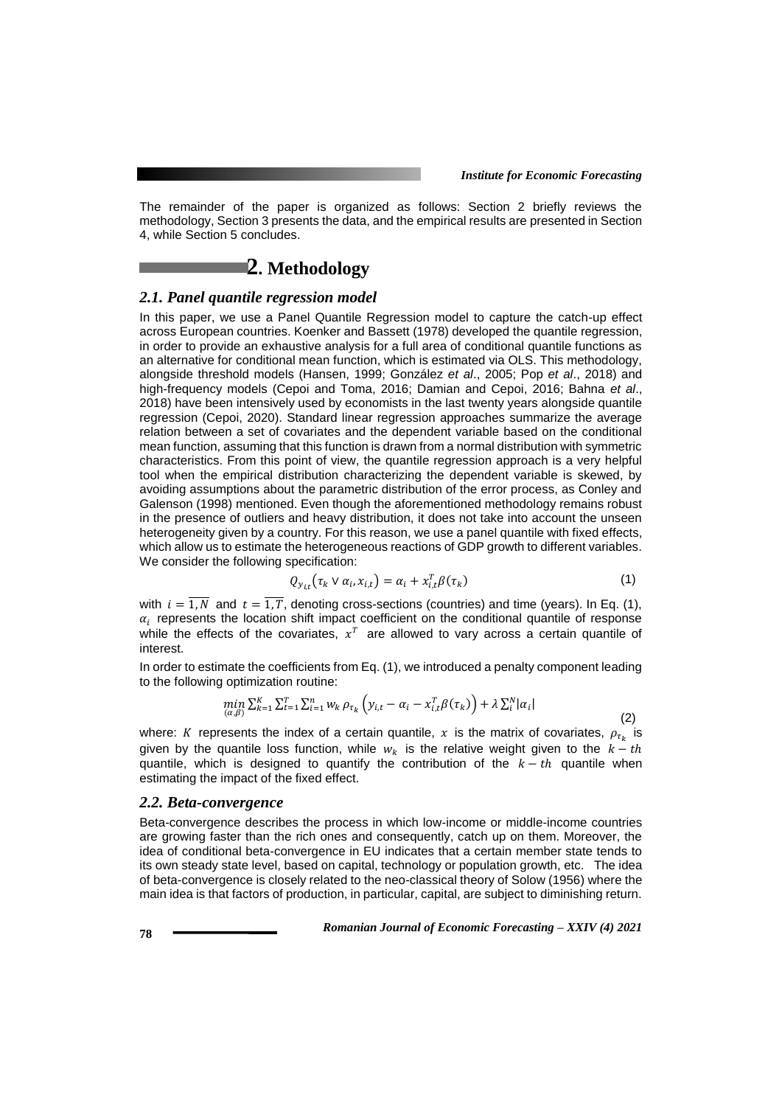(2)

The remainder of the paper is organized as follows: Section 2 briefly reviews the methodology, Section 3 presents the data, and the empirical results are presented in Section 4, while Section 5 concludes.

# **2. Methodology**

#### *2.1. Panel quantile regression model*

In this paper, we use a Panel Quantile Regression model to capture the catch-up effect across European countries. Koenker and Bassett (1978) developed the quantile regression, in order to provide an exhaustive analysis for a full area of conditional quantile functions as an alternative for conditional mean function, which is estimated via OLS. This methodology, alongside threshold models (Hansen, 1999; González *et al*., 2005; Pop *et al*., 2018) and high-frequency models (Cepoi and Toma, 2016; Damian and Cepoi, 2016; Bahna *et al*., 2018) have been intensively used by economists in the last twenty years alongside quantile regression (Cepoi, 2020). Standard linear regression approaches summarize the average relation between a set of covariates and the dependent variable based on the conditional mean function, assuming that this function is drawn from a normal distribution with symmetric characteristics. From this point of view, the quantile regression approach is a very helpful tool when the empirical distribution characterizing the dependent variable is skewed, by avoiding assumptions about the parametric distribution of the error process, as Conley and Galenson (1998) mentioned. Even though the aforementioned methodology remains robust in the presence of outliers and heavy distribution, it does not take into account the unseen heterogeneity given by a country. For this reason, we use a panel quantile with fixed effects, which allow us to estimate the heterogeneous reactions of GDP growth to different variables. We consider the following specification:

$$
Q_{y_{i,t}}(\tau_k \vee \alpha_i, x_{i,t}) = \alpha_i + x_{i,t}^T \beta(\tau_k)
$$
\n(1)

with  $i = \overline{1, N}$  and  $t = \overline{1, T}$ , denoting cross-sections (countries) and time (years). In Eq. (1),  $\alpha_i$  represents the location shift impact coefficient on the conditional quantile of response while the effects of the covariates,  $x^T$  are allowed to vary across a certain quantile of interest.

In order to estimate the coefficients from Eq. (1), we introduced a penalty component leading to the following optimization routine:

$$
\min_{(\alpha,\beta)}\Sigma_{k=1}^K \Sigma_{t=1}^T \Sigma_{i=1}^n w_k \, \rho_{\tau_k} \left( y_{i,t} - \alpha_i - x_{i,t}^T \beta(\tau_k) \right) + \lambda \, \Sigma_i^N |\alpha_i|
$$

where: K represents the index of a certain quantile, x is the matrix of covariates,  $\rho_{\tau_k}$  is given by the quantile loss function, while  $w_k$  is the relative weight given to the  $k-th$ quantile, which is designed to quantify the contribution of the  $k - th$  quantile when estimating the impact of the fixed effect.

#### *2.2. Beta-convergence*

Beta-convergence describes the process in which low-income or middle-income countries are growing faster than the rich ones and consequently, catch up on them. Moreover, the idea of conditional beta-convergence in EU indicates that a certain member state tends to its own steady state level, based on capital, technology or population growth, etc. The idea of beta-convergence is closely related to the neo-classical theory of Solow (1956) where the main idea is that factors of production, in particular, capital, are subject to diminishing return.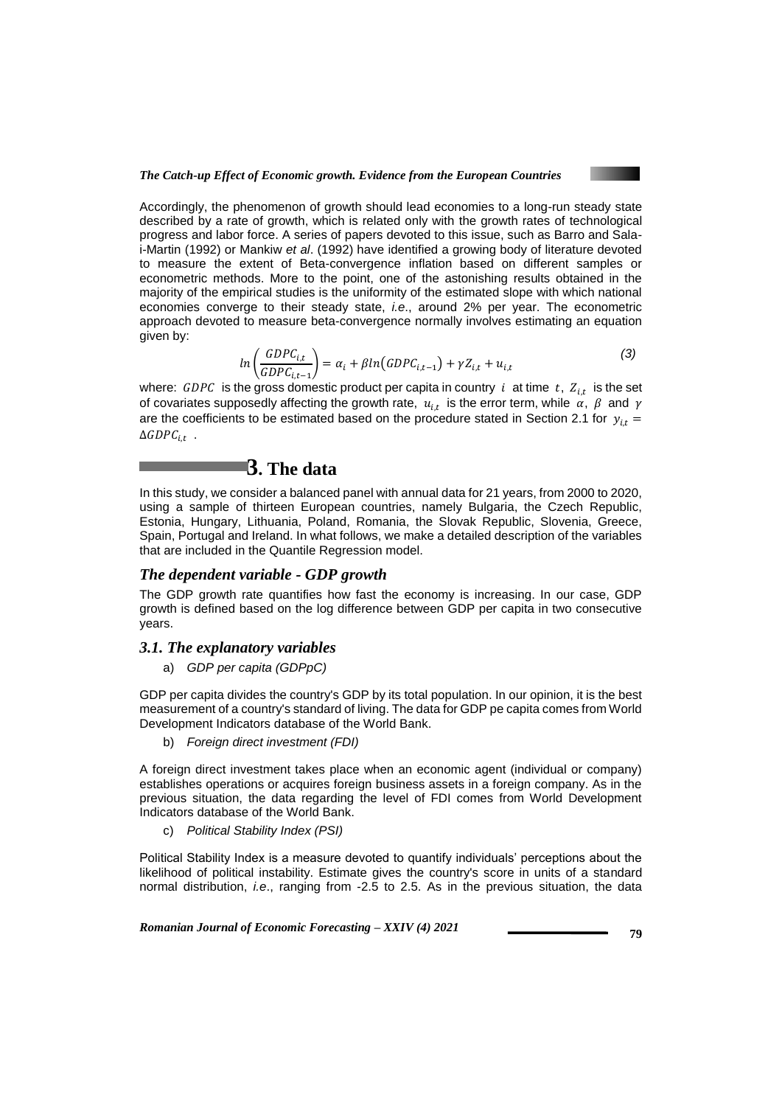

Accordingly, the phenomenon of growth should lead economies to a long-run steady state described by a rate of growth, which is related only with the growth rates of technological progress and labor force. A series of papers devoted to this issue, such as Barro and Salai-Martin (1992) or Mankiw *et al*. (1992) have identified a growing body of literature devoted to measure the extent of Beta-convergence inflation based on different samples or econometric methods. More to the point, one of the astonishing results obtained in the majority of the empirical studies is the uniformity of the estimated slope with which national economies converge to their steady state, *i.e*., around 2% per year. The econometric approach devoted to measure beta-convergence normally involves estimating an equation given by:

$$
ln\left(\frac{GDPC_{i,t}}{GDPC_{i,t-1}}\right) = \alpha_i + \beta ln(GDPC_{i,t-1}) + \gamma Z_{i,t} + u_{i,t}
$$
\n(3)

where:  $GDPC$  is the gross domestic product per capita in country i at time  $t$ ,  $Z_{i,t}$  is the set of covariates supposedly affecting the growth rate,  $\,u_{i,t}\,$  is the error term, while  $\,\alpha,\,\,\beta\,$  and  $\,\gamma$ are the coefficients to be estimated based on the procedure stated in Section 2.1 for  $y_{i,t} =$  $\Delta GDPC_{i,t}$  .

# **3. The data**

In this study, we consider a balanced panel with annual data for 21 years, from 2000 to 2020, using a sample of thirteen European countries, namely Bulgaria, the Czech Republic, Estonia, Hungary, Lithuania, Poland, Romania, the Slovak Republic, Slovenia, Greece, Spain, Portugal and Ireland. In what follows, we make a detailed description of the variables that are included in the Quantile Regression model.

### *The dependent variable - GDP growth*

The GDP growth rate quantifies how fast the economy is increasing. In our case, GDP growth is defined based on the log difference between GDP per capita in two consecutive years.

#### *3.1. The explanatory variables*

a) *GDP per capita (GDPpC)*

GDP per capita divides the country's GDP by its total population. In our opinion, it is the best measurement of a country's standard of living. The data for GDP pe capita comes from World Development Indicators database of the World Bank.

b) *Foreign direct investment (FDI)*

A foreign direct investment takes place when an economic agent (individual or company) establishes operations or acquires foreign business assets in a foreign company. As in the previous situation, the data regarding the level of FDI comes from World Development Indicators database of the World Bank.

c) *Political Stability Index (PSI)*

Political Stability Index is a measure devoted to quantify individuals' perceptions about the likelihood of political instability. Estimate gives the country's score in units of a standard normal distribution, *i.e*., ranging from -2.5 to 2.5. As in the previous situation, the data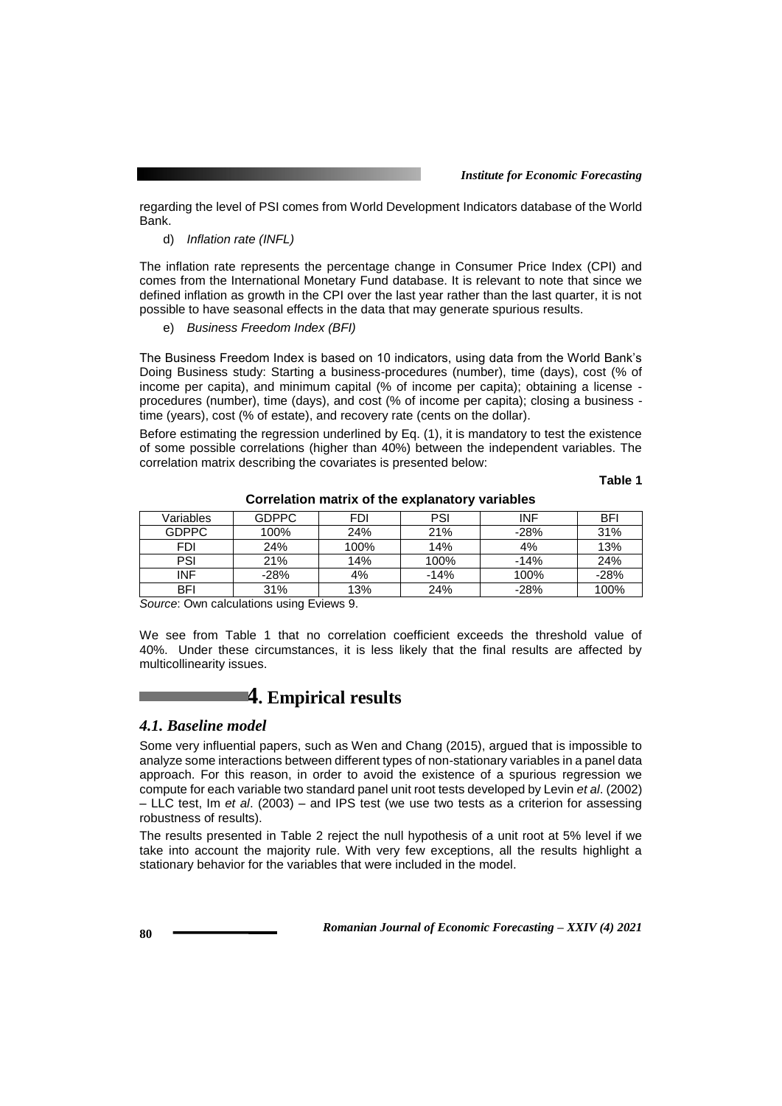regarding the level of PSI comes from World Development Indicators database of the World Bank.

d) *Inflation rate (INFL)*

The inflation rate represents the percentage change in Consumer Price Index (CPI) and comes from the International Monetary Fund database. It is relevant to note that since we defined inflation as growth in the CPI over the last year rather than the last quarter, it is not possible to have seasonal effects in the data that may generate spurious results.

e) *Business Freedom Index (BFI)*

The Business Freedom Index is based on 10 indicators, using data from the World Bank's Doing Business study: Starting a business-procedures (number), time (days), cost (% of income per capita), and minimum capital (% of income per capita); obtaining a license procedures (number), time (days), and cost (% of income per capita); closing a business time (years), cost (% of estate), and recovery rate (cents on the dollar).

Before estimating the regression underlined by Eq. (1), it is mandatory to test the existence of some possible correlations (higher than 40%) between the independent variables. The correlation matrix describing the covariates is presented below:

**Table 1** 

| Variables    | <b>GDPPC</b> | <b>FDI</b> | <b>PSI</b> | <b>INF</b> | <b>BFI</b> |
|--------------|--------------|------------|------------|------------|------------|
| <b>GDPPC</b> | 100%         | 24%        | 21%        | $-28%$     | 31%        |
| FDI          | 24%          | 100%       | 14%        | 4%         | 13%        |
| PSI          | 21%          | 14%        | 100%       | $-14%$     | 24%        |
| INF          | $-28%$       | 4%         | $-14%$     | 100%       | $-28%$     |
| <b>BFI</b>   | 31%          | 13%        | 24%        | $-28%$     | 100%       |
|              |              |            |            |            |            |

**Correlation matrix of the explanatory variables**

*Source*: Own calculations using Eviews 9.

We see from Table 1 that no correlation coefficient exceeds the threshold value of 40%. Under these circumstances, it is less likely that the final results are affected by multicollinearity issues.

# **4. Empirical results**

#### *4.1. Baseline model*

Some very influential papers, such as Wen and Chang (2015), argued that is impossible to analyze some interactions between different types of non-stationary variables in a panel data approach. For this reason, in order to avoid the existence of a spurious regression we compute for each variable two standard panel unit root tests developed by Levin *et al*. (2002) – LLC test, Im *et al*. (2003) – and IPS test (we use two tests as a criterion for assessing robustness of results).

The results presented in Table 2 reject the null hypothesis of a unit root at 5% level if we take into account the majority rule. With very few exceptions, all the results highlight a stationary behavior for the variables that were included in the model.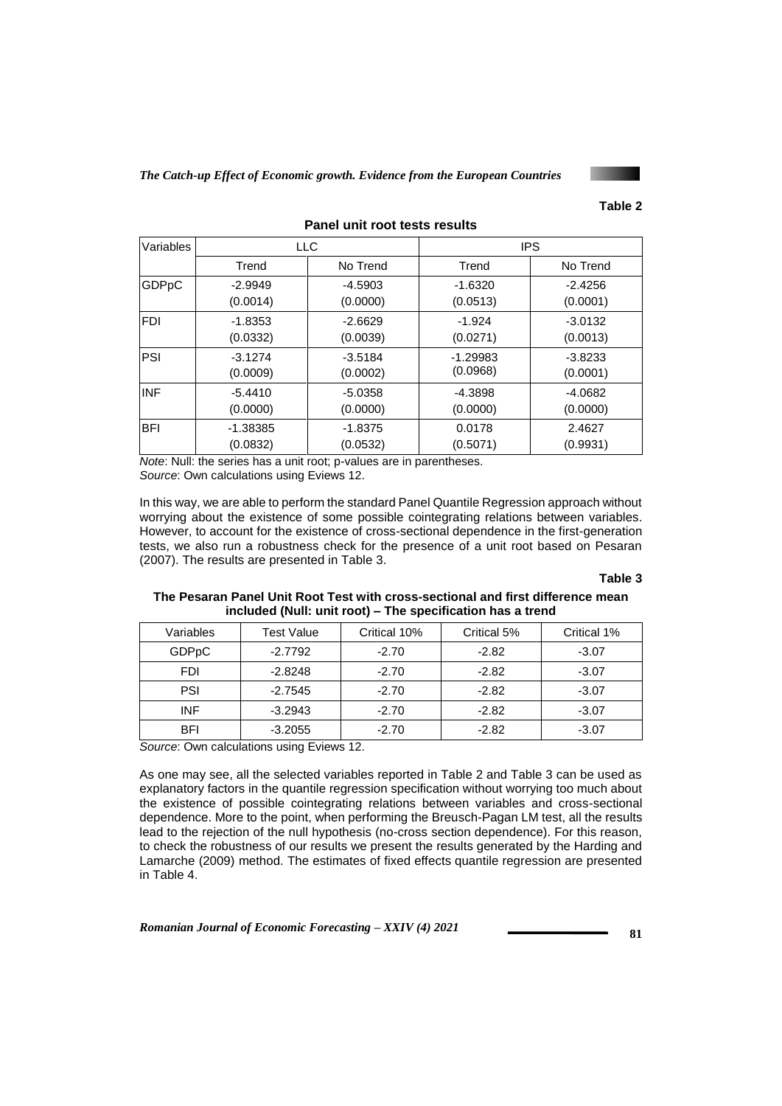

| Variables  | <b>LLC</b> |           | <b>IPS</b> |           |  |
|------------|------------|-----------|------------|-----------|--|
|            | Trend      | No Trend  | Trend      | No Trend  |  |
| GDPpC      | $-2.9949$  | $-4.5903$ | $-1.6320$  | $-2.4256$ |  |
|            | (0.0014)   | (0.0000)  | (0.0513)   | (0.0001)  |  |
| <b>FDI</b> | $-1.8353$  | $-2.6629$ | $-1.924$   | $-3.0132$ |  |
|            | (0.0332)   | (0.0039)  | (0.0271)   | (0.0013)  |  |
| PSI        | $-3.1274$  | $-3.5184$ | $-1.29983$ | $-3.8233$ |  |
|            | (0.0009)   | (0.0002)  | (0.0968)   | (0.0001)  |  |
| <b>INF</b> | $-5.4410$  | $-5.0358$ | $-4.3898$  | $-4.0682$ |  |
|            | (0.0000)   | (0.0000)  | (0.0000)   | (0.0000)  |  |
| <b>BFI</b> | $-1.38385$ | $-1.8375$ | 0.0178     | 2.4627    |  |
|            | (0.0832)   | (0.0532)  | (0.5071)   | (0.9931)  |  |

**Panel unit root tests results** 

*Note*: Null: the series has a unit root; p-values are in parentheses. *Source*: Own calculations using Eviews 12.

In this way, we are able to perform the standard Panel Quantile Regression approach without worrying about the existence of some possible cointegrating relations between variables. However, to account for the existence of cross-sectional dependence in the first-generation tests, we also run a robustness check for the presence of a unit root based on Pesaran (2007). The results are presented in Table 3.

#### **Table 3**

#### **The Pesaran Panel Unit Root Test with cross-sectional and first difference mean included (Null: unit root) – The specification has a trend**

| Variables    | Test Value | Critical 10% | Critical 5% | Critical 1% |
|--------------|------------|--------------|-------------|-------------|
| <b>GDPpC</b> | $-2.7792$  | $-2.70$      | $-2.82$     | $-3.07$     |
| <b>FDI</b>   | $-2.8248$  | $-2.70$      | $-2.82$     | $-3.07$     |
| PSI          | $-2.7545$  | $-2.70$      | $-2.82$     | $-3.07$     |
| <b>INF</b>   | $-3.2943$  | $-2.70$      | $-2.82$     | $-3.07$     |
| <b>BFI</b>   | $-3.2055$  | $-2.70$      | $-2.82$     | $-3.07$     |

*Source*: Own calculations using Eviews 12.

As one may see, all the selected variables reported in Table 2 and Table 3 can be used as explanatory factors in the quantile regression specification without worrying too much about the existence of possible cointegrating relations between variables and cross-sectional dependence. More to the point, when performing the Breusch-Pagan LM test, all the results lead to the rejection of the null hypothesis (no-cross section dependence). For this reason, to check the robustness of our results we present the results generated by the Harding and Lamarche (2009) method. The estimates of fixed effects quantile regression are presented in Table 4.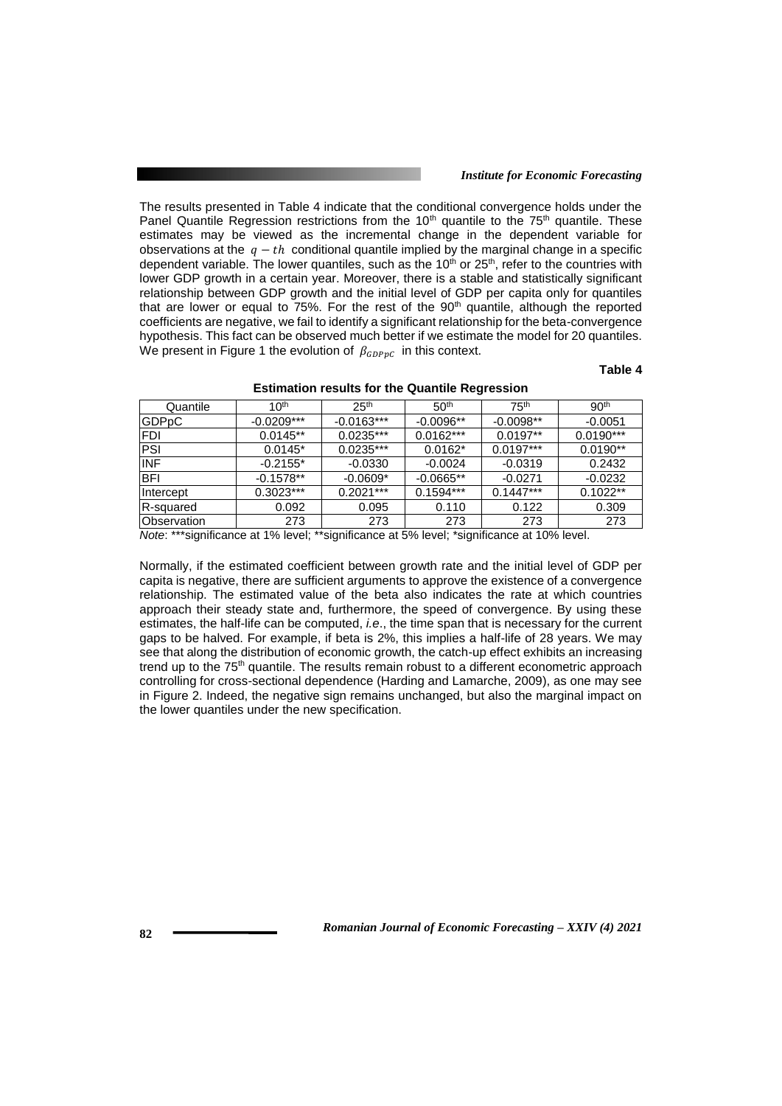#### *Institute for Economic Forecasting*

The results presented in Table 4 indicate that the conditional convergence holds under the Panel Quantile Regression restrictions from the  $10<sup>th</sup>$  quantile to the  $75<sup>th</sup>$  quantile. These estimates may be viewed as the incremental change in the dependent variable for observations at the  $q - th$  conditional quantile implied by the marginal change in a specific dependent variable. The lower quantiles, such as the  $10<sup>th</sup>$  or  $25<sup>th</sup>$ , refer to the countries with lower GDP growth in a certain year. Moreover, there is a stable and statistically significant relationship between GDP growth and the initial level of GDP per capita only for quantiles that are lower or equal to  $75\%$ . For the rest of the  $90<sup>th</sup>$  quantile, although the reported coefficients are negative, we fail to identify a significant relationship for the beta-convergence hypothesis. This fact can be observed much better if we estimate the model for 20 quantiles. We present in Figure 1 the evolution of  $\beta_{GDPpC}$  in this context.

### **Table 4**

| Quantile     | 10 <sup>th</sup> | 25 <sup>th</sup> | 50 <sup>th</sup> | 75 <sup>th</sup> | 90 <sup>th</sup> |
|--------------|------------------|------------------|------------------|------------------|------------------|
| <b>GDPpC</b> | $-0.0209***$     | $-0.0163***$     | $-0.0096**$      | $-0.0098**$      | $-0.0051$        |
| <b>IFDI</b>  | $0.0145**$       | $0.0235***$      | $0.0162***$      | $0.0197**$       | $0.0190***$      |
| PSI          | $0.0145*$        | $0.0235***$      | $0.0162*$        | $0.0197***$      | $0.0190**$       |
| <b>INF</b>   | $-0.2155*$       | $-0.0330$        | $-0.0024$        | $-0.0319$        | 0.2432           |
| <b>BFI</b>   | $-0.1578**$      | $-0.0609*$       | $-0.0665**$      | $-0.0271$        | $-0.0232$        |
| Intercept    | $0.3023***$      | $0.2021***$      | $0.1594***$      | $0.1447***$      | $0.1022**$       |
| R-squared    | 0.092            | 0.095            | 0.110            | 0.122            | 0.309            |
| Observation  | 273              | 273              | 273              | 273              | 273              |
|              |                  |                  |                  |                  |                  |

#### **Estimation results for the Quantile Regression**

*Note*: \*\*\*significance at 1% level; \*\*significance at 5% level; \*significance at 10% level.

Normally, if the estimated coefficient between growth rate and the initial level of GDP per capita is negative, there are sufficient arguments to approve the existence of a convergence relationship. The estimated value of the beta also indicates the rate at which countries approach their steady state and, furthermore, the speed of convergence. By using these estimates, the half-life can be computed, *i.e*., the time span that is necessary for the current gaps to be halved. For example, if beta is 2%, this implies a half-life of 28 years. We may see that along the distribution of economic growth, the catch-up effect exhibits an increasing trend up to the 75<sup>th</sup> quantile. The results remain robust to a different econometric approach controlling for cross-sectional dependence (Harding and Lamarche, 2009), as one may see in Figure 2. Indeed, the negative sign remains unchanged, but also the marginal impact on the lower quantiles under the new specification.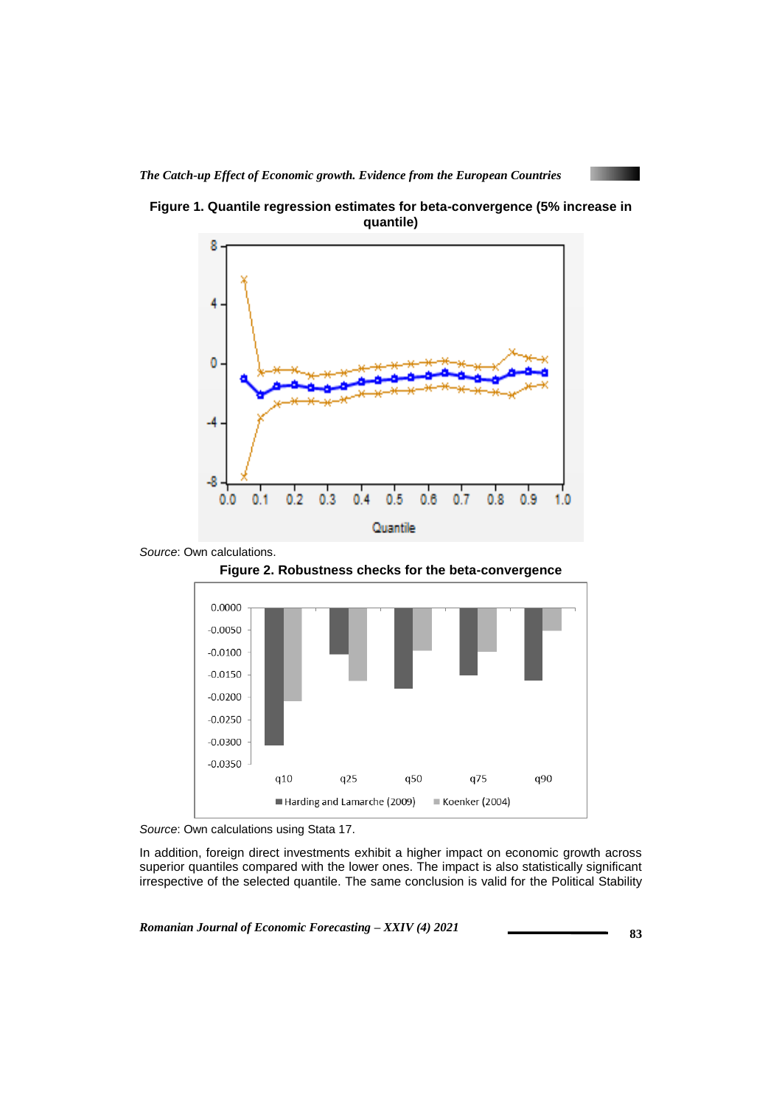











*Source*: Own calculations using Stata 17.

In addition, foreign direct investments exhibit a higher impact on economic growth across superior quantiles compared with the lower ones. The impact is also statistically significant irrespective of the selected quantile. The same conclusion is valid for the Political Stability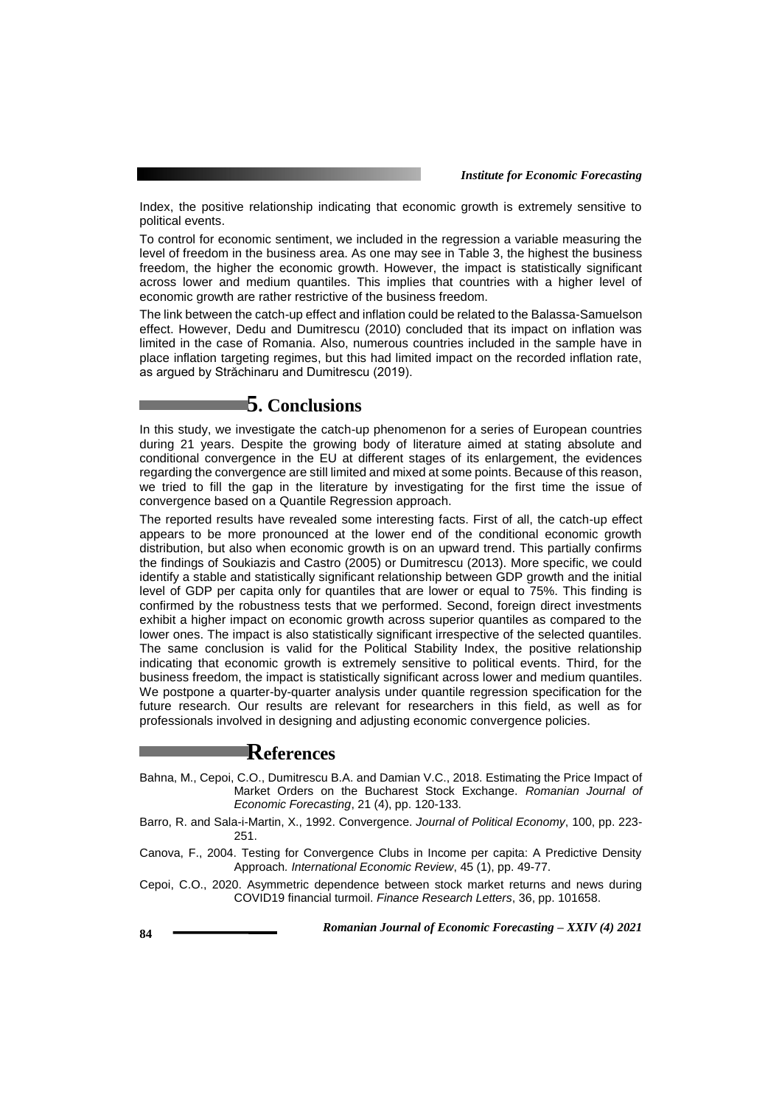Index, the positive relationship indicating that economic growth is extremely sensitive to political events.

To control for economic sentiment, we included in the regression a variable measuring the level of freedom in the business area. As one may see in Table 3, the highest the business freedom, the higher the economic growth. However, the impact is statistically significant across lower and medium quantiles. This implies that countries with a higher level of economic growth are rather restrictive of the business freedom.

The link between the catch-up effect and inflation could be related to the Balassa-Samuelson effect. However, Dedu and Dumitrescu (2010) concluded that its impact on inflation was limited in the case of Romania. Also, numerous countries included in the sample have in place inflation targeting regimes, but this had limited impact on the recorded inflation rate, as argued by Străchinaru and Dumitrescu (2019).

### **5. Conclusions**

In this study, we investigate the catch-up phenomenon for a series of European countries during 21 years. Despite the growing body of literature aimed at stating absolute and conditional convergence in the EU at different stages of its enlargement, the evidences regarding the convergence are still limited and mixed at some points. Because of this reason, we tried to fill the gap in the literature by investigating for the first time the issue of convergence based on a Quantile Regression approach.

The reported results have revealed some interesting facts. First of all, the catch-up effect appears to be more pronounced at the lower end of the conditional economic growth distribution, but also when economic growth is on an upward trend. This partially confirms the findings of Soukiazis and Castro (2005) or Dumitrescu (2013). More specific, we could identify a stable and statistically significant relationship between GDP growth and the initial level of GDP per capita only for quantiles that are lower or equal to 75%. This finding is confirmed by the robustness tests that we performed. Second, foreign direct investments exhibit a higher impact on economic growth across superior quantiles as compared to the lower ones. The impact is also statistically significant irrespective of the selected quantiles. The same conclusion is valid for the Political Stability Index, the positive relationship indicating that economic growth is extremely sensitive to political events. Third, for the business freedom, the impact is statistically significant across lower and medium quantiles. We postpone a quarter-by-quarter analysis under quantile regression specification for the future research. Our results are relevant for researchers in this field, as well as for professionals involved in designing and adjusting economic convergence policies.

### **References**

- Bahna, M., Cepoi, C.O., Dumitrescu B.A. and Damian V.C., 2018. Estimating the Price Impact of Market Orders on the Bucharest Stock Exchange. *Romanian Journal of Economic Forecasting*, 21 (4), pp. 120-133.
- Barro, R. and Sala-i-Martin, X., 1992. Convergence. *Journal of Political Economy*, 100, pp. 223- 251.
- Canova, F., 2004. Testing for Convergence Clubs in Income per capita: A Predictive Density Approach*. International Economic Review*, 45 (1), pp. 49-77.
- Cepoi, C.O., 2020. Asymmetric dependence between stock market returns and news during COVID19 financial turmoil. *Finance Research Letters*, 36, pp. 101658.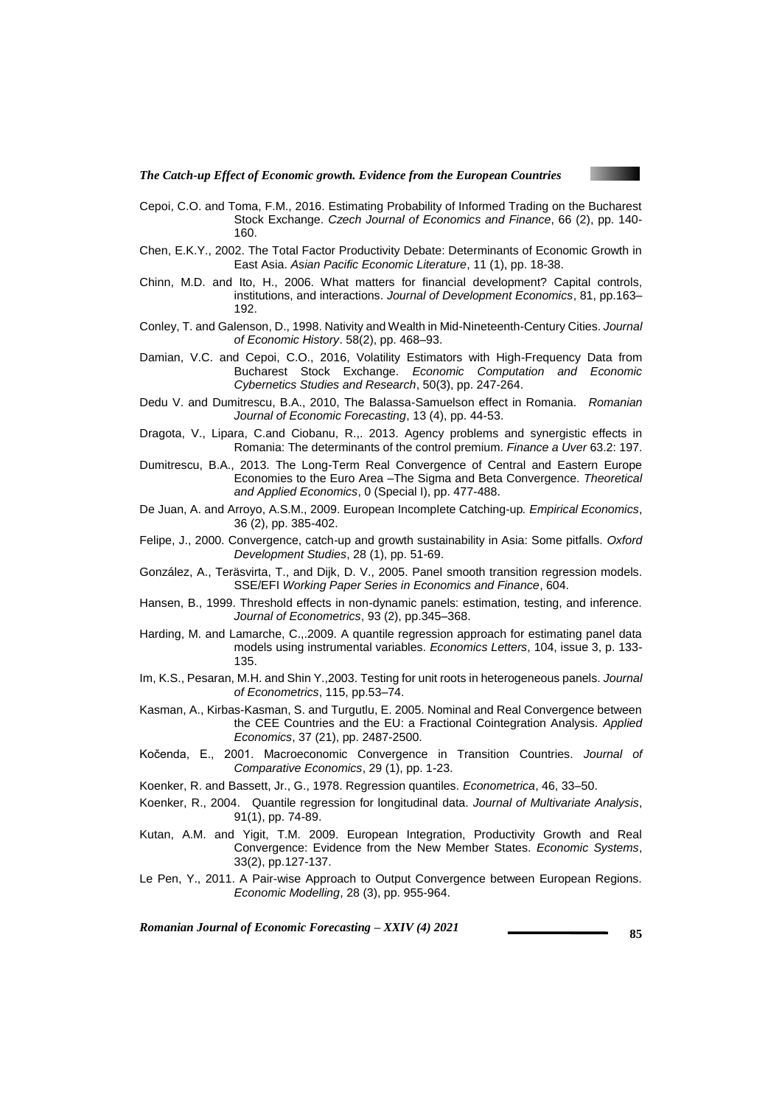

- Cepoi, C.O. and Toma, F.M., 2016. Estimating Probability of Informed Trading on the Bucharest Stock Exchange. *Czech Journal of Economics and Finance*, 66 (2), pp. 140- 160.
- Chen, E.K.Y., 2002. The Total Factor Productivity Debate: Determinants of Economic Growth in East Asia. *Asian Pacific Economic Literature*, 11 (1), pp. 18-38.
- Chinn, M.D. and Ito, H., 2006. What matters for financial development? Capital controls, institutions, and interactions. *Journal of Development Economics*, 81, pp.163– 192.
- Conley, T. and Galenson, D., 1998. Nativity and Wealth in Mid-Nineteenth-Century Cities. *Journal of Economic History*. 58(2), pp. 468–93.
- Damian, V.C. and Cepoi, C.O., 2016, Volatility Estimators with High-Frequency Data from Bucharest Stock Exchange. *Economic Computation and Economic Cybernetics Studies and Research*, 50(3), pp. 247-264.
- Dedu V. and Dumitrescu, B.A., 2010, The Balassa-Samuelson effect in Romania. *Romanian Journal of Economic Forecasting*, 13 (4), pp. 44-53.
- Dragota, V., Lipara, C.and Ciobanu, R.,. 2013. Agency problems and synergistic effects in Romania: The determinants of the control premium. *Finance a Uver* 63.2: 197.
- Dumitrescu, B.A., 2013. The Long-Term Real Convergence of Central and Eastern Europe Economies to the Euro Area –The Sigma and Beta Convergence. *Theoretical and Applied Economics*, 0 (Special I), pp. 477-488.
- De Juan, A. and Arroyo, A.S.M., 2009. European Incomplete Catching-up*. Empirical Economics*, 36 (2), pp. 385-402.
- Felipe, J., 2000. Convergence, catch-up and growth sustainability in Asia: Some pitfalls. *Oxford Development Studies*, 28 (1), pp. 51-69.
- González, A., Teräsvirta, T., and Dijk, D. V., 2005. Panel smooth transition regression models. SSE/EFI *Working Paper Series in Economics and Finance*, 604.
- Hansen, B., 1999. Threshold effects in non-dynamic panels: estimation, testing, and inference. *Journal of Econometrics*, 93 (2), pp.345–368.
- Harding, M. and Lamarche, C.,.2009. A quantile regression approach for estimating panel data models using instrumental variables. *Economics Letters*, 104, issue 3, p. 133- 135.
- Im, K.S., Pesaran, M.H. and Shin Y.,2003. Testing for unit roots in heterogeneous panels. *Journal of Econometrics*, 115, pp.53–74.
- Kasman, A., Kirbas-Kasman, S. and Turgutlu, E. 2005. Nominal and Real Convergence between the CEE Countries and the EU: a Fractional Cointegration Analysis. *Applied Economics*, 37 (21), pp. 2487-2500.
- Kočenda, E., 2001. Macroeconomic Convergence in Transition Countries. *Journal of Comparative Economics*, 29 (1), pp. 1-23.
- Koenker, R. and Bassett, Jr., G., 1978. Regression quantiles. *Econometrica*, 46, 33–50.
- Koenker, R., 2004. Quantile regression for longitudinal data. *Journal of Multivariate Analysis*, 91(1), pp. 74-89.
- Kutan, A.M. and Yigit, T.M. 2009. European Integration, Productivity Growth and Real Convergence: Evidence from the New Member States. *Economic Systems*, 33(2), pp.127-137.
- Le Pen, Y., 2011. A Pair-wise Approach to Output Convergence between European Regions*. Economic Modelling*, 28 (3), pp. 955-964.